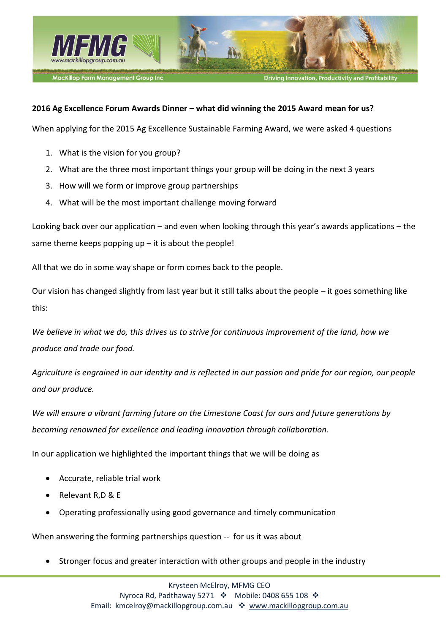

#### MacKillop Farm Management Group Inc

**Driving Innovation, Productivity and P** 

#### **2016 Ag Excellence Forum Awards Dinner – what did winning the 2015 Award mean for us?**

When applying for the 2015 Ag Excellence Sustainable Farming Award, we were asked 4 questions

- 1. What is the vision for you group?
- 2. What are the three most important things your group will be doing in the next 3 years
- 3. How will we form or improve group partnerships
- 4. What will be the most important challenge moving forward

Looking back over our application – and even when looking through this year's awards applications – the same theme keeps popping  $up$  – it is about the people!

All that we do in some way shape or form comes back to the people.

Our vision has changed slightly from last year but it still talks about the people – it goes something like this:

*We believe in what we do, this drives us to strive for continuous improvement of the land, how we produce and trade our food.* 

*Agriculture is engrained in our identity and is reflected in our passion and pride for our region, our people and our produce.* 

*We will ensure a vibrant farming future on the Limestone Coast for ours and future generations by becoming renowned for excellence and leading innovation through collaboration.* 

In our application we highlighted the important things that we will be doing as

- Accurate, reliable trial work
- x Relevant R,D & E
- x Operating professionally using good governance and timely communication

When answering the forming partnerships question -- for us it was about

Stronger focus and greater interaction with other groups and people in the industry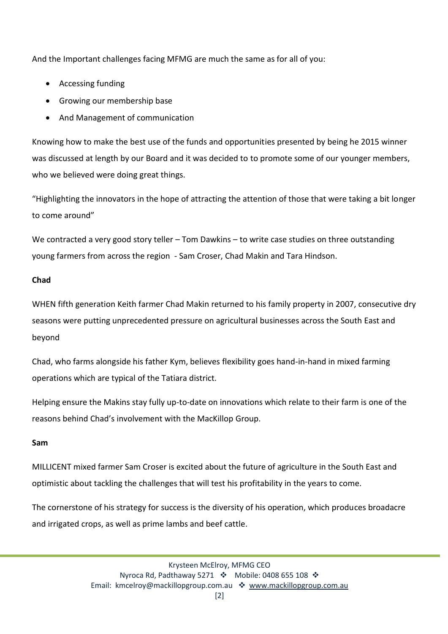And the Important challenges facing MFMG are much the same as for all of you:

- Accessing funding
- Growing our membership base
- And Management of communication

Knowing how to make the best use of the funds and opportunities presented by being he 2015 winner was discussed at length by our Board and it was decided to to promote some of our younger members, who we believed were doing great things.

"Highlighting the innovators in the hope of attracting the attention of those that were taking a bit longer to come around"

We contracted a very good story teller – Tom Dawkins – to write case studies on three outstanding young farmers from across the region - Sam Croser, Chad Makin and Tara Hindson.

# **Chad**

WHEN fifth generation Keith farmer Chad Makin returned to his family property in 2007, consecutive dry seasons were putting unprecedented pressure on agricultural businesses across the South East and beyond

Chad, who farms alongside his father Kym, believes flexibility goes hand-in-hand in mixed farming operations which are typical of the Tatiara district.

Helping ensure the Makins stay fully up-to-date on innovations which relate to their farm is one of the reasons behind Chad's involvement with the MacKillop Group.

# **Sam**

MILLICENT mixed farmer Sam Croser is excited about the future of agriculture in the South East and optimistic about tackling the challenges that will test his profitability in the years to come.

The cornerstone of his strategy for success is the diversity of his operation, which produces broadacre and irrigated crops, as well as prime lambs and beef cattle.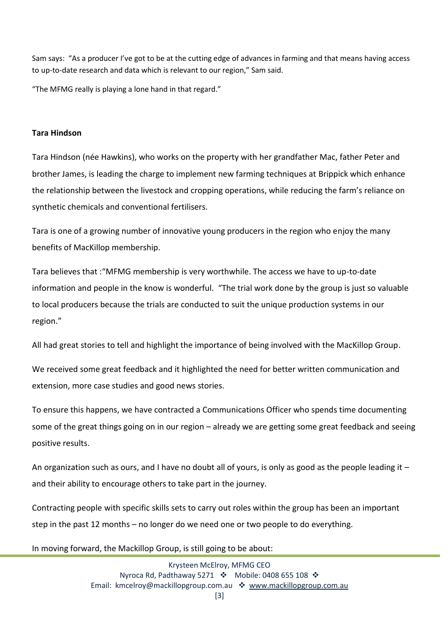Sam says: "As a producer I've got to be at the cutting edge of advances in farming and that means having access to up-to-date research and data which is relevant to our region," Sam said.

"The MFMG really is playing a lone hand in that regard."

#### **Tara Hindson**

Tara Hindson (née Hawkins), who works on the property with her grandfather Mac, father Peter and brother James, is leading the charge to implement new farming techniques at Brippick which enhance the relationship between the livestock and cropping operations, while reducing the farm's reliance on synthetic chemicals and conventional fertilisers.

Tara is one of a growing number of innovative young producers in the region who enjoy the many benefits of MacKillop membership.

Tara believes that :"MFMG membership is very worthwhile. The access we have to up-to-date information and people in the know is wonderful. "The trial work done by the group is just so valuable to local producers because the trials are conducted to suit the unique production systems in our region."

All had great stories to tell and highlight the importance of being involved with the MacKillop Group.

We received some great feedback and it highlighted the need for better written communication and extension, more case studies and good news stories.

To ensure this happens, we have contracted a Communications Officer who spends time documenting some of the great things going on in our region – already we are getting some great feedback and seeing positive results.

An organization such as ours, and I have no doubt all of yours, is only as good as the people leading it – and their ability to encourage others to take part in the journey.

Contracting people with specific skills sets to carry out roles within the group has been an important step in the past 12 months – no longer do we need one or two people to do everything.

# In moving forward, the Mackillop Group, is still going to be about: